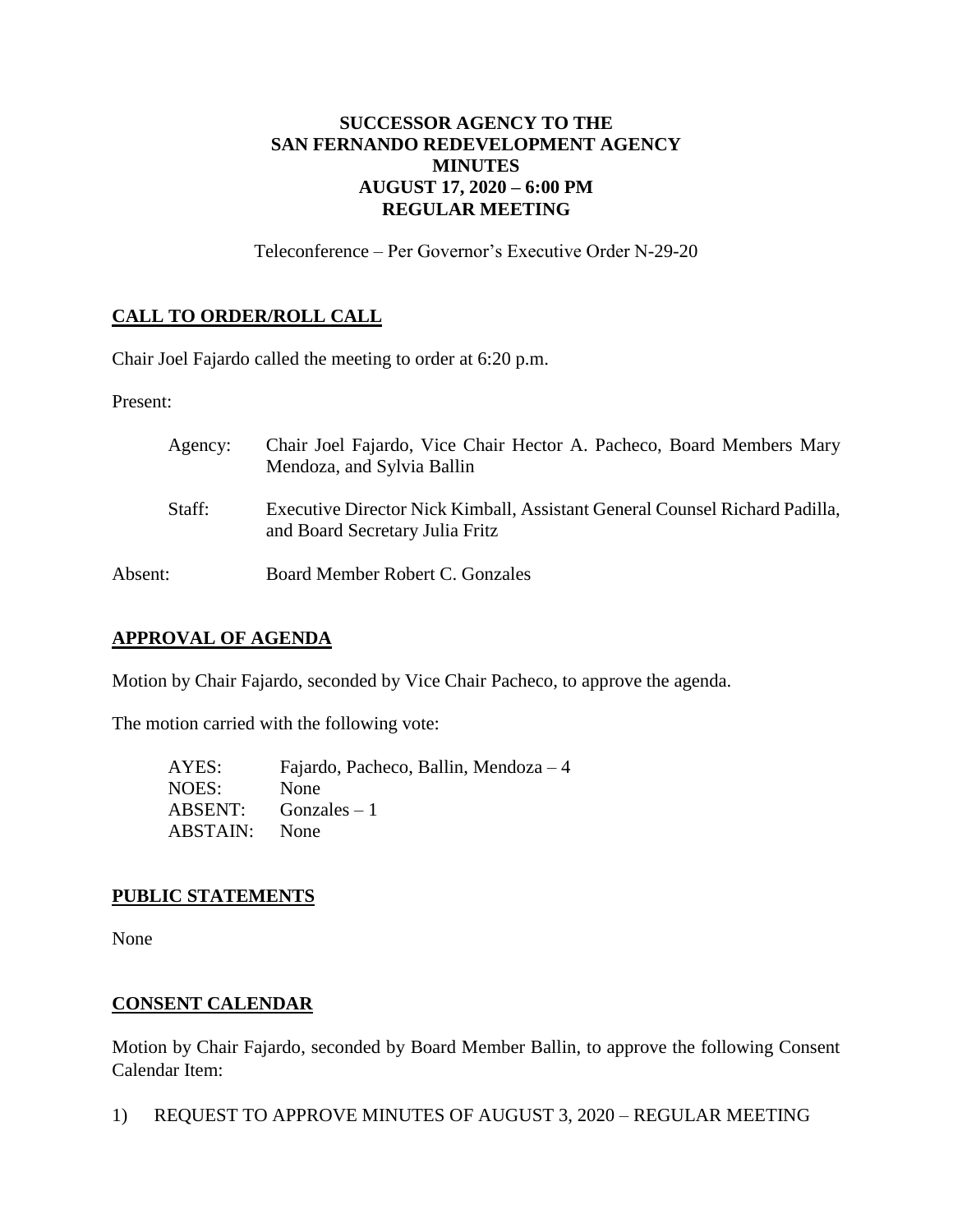# **SUCCESSOR AGENCY TO THE SAN FERNANDO REDEVELOPMENT AGENCY MINUTES AUGUST 17, 2020 – 6:00 PM REGULAR MEETING**

Teleconference – Per Governor's Executive Order N-29-20

# **CALL TO ORDER/ROLL CALL**

Chair Joel Fajardo called the meeting to order at 6:20 p.m.

Present:

| Agency: | Chair Joel Fajardo, Vice Chair Hector A. Pacheco, Board Members Mary<br>Mendoza, and Sylvia Ballin             |
|---------|----------------------------------------------------------------------------------------------------------------|
| Staff:  | Executive Director Nick Kimball, Assistant General Counsel Richard Padilla,<br>and Board Secretary Julia Fritz |
| Absent: | Board Member Robert C. Gonzales                                                                                |

### **APPROVAL OF AGENDA**

Motion by Chair Fajardo, seconded by Vice Chair Pacheco, to approve the agenda.

The motion carried with the following vote:

| AYES:                | Fajardo, Pacheco, Ballin, Mendoza $-4$ |
|----------------------|----------------------------------------|
| NOES:                | None                                   |
|                      | $ABSENT:$ Gonzales $-1$                |
| <b>ABSTAIN:</b> None |                                        |

### **PUBLIC STATEMENTS**

None

# **CONSENT CALENDAR**

Motion by Chair Fajardo, seconded by Board Member Ballin, to approve the following Consent Calendar Item:

1) REQUEST TO APPROVE MINUTES OF AUGUST 3, 2020 – REGULAR MEETING